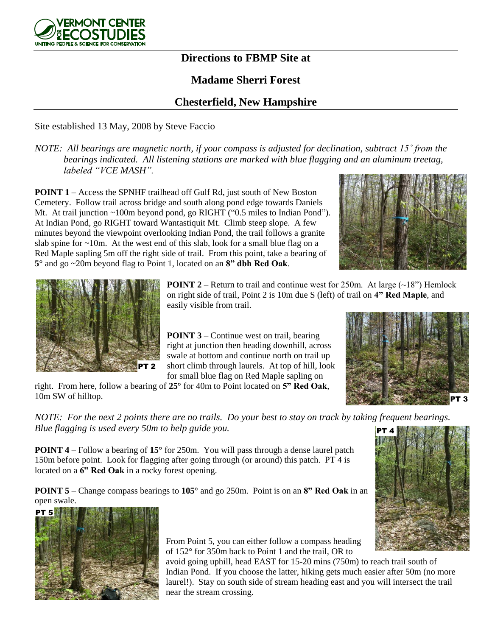

## **Directions to FBMP Site at**

## **Madame Sherri Forest**

## **Chesterfield, New Hampshire**

Site established 13 May, 2008 by Steve Faccio

*NOTE: All bearings are magnetic north, if your compass is adjusted for declination, subtract 15˚ from the bearings indicated. All listening stations are marked with blue flagging and an aluminum treetag, labeled "VCE MASH".*

**POINT 1** – Access the SPNHF trailhead off Gulf Rd, just south of New Boston Cemetery. Follow trail across bridge and south along pond edge towards Daniels Mt. At trail junction ~100m beyond pond, go RIGHT ("0.5 miles to Indian Pond"). At Indian Pond, go RIGHT toward Wantastiquit Mt. Climb steep slope. A few minutes beyond the viewpoint overlooking Indian Pond, the trail follows a granite slab spine for  $\sim$ 10m. At the west end of this slab, look for a small blue flag on a Red Maple sapling 5m off the right side of trail. From this point, take a bearing of **5°** and go ~20m beyond flag to Point 1, located on an **8" dbh Red Oak**.





**POINT 2** – Return to trail and continue west for 250m. At large  $(\sim 18)$  Hemlock on right side of trail, Point 2 is 10m due S (left) of trail on **4" Red Maple**, and easily visible from trail.

**POINT 3** – Continue west on trail, bearing right at junction then heading downhill, across swale at bottom and continue north on trail up short climb through laurels. At top of hill, look for small blue flag on Red Maple sapling on



right. From here, follow a bearing of **25°** for 40m to Point located on **5" Red Oak**, 10m SW of hilltop.

*NOTE: For the next 2 points there are no trails. Do your best to stay on track by taking frequent bearings. Blue flagging is used every 50m to help guide you.* PT 4

**POINT 4** – Follow a bearing of **15°** for 250m. You will pass through a dense laurel patch 150m before point. Look for flagging after going through (or around) this patch. PT 4 is located on a **6" Red Oak** in a rocky forest opening.

**POINT 5** – Change compass bearings to **105°** and go 250m. Point is on an **8" Red Oak** in an open swale.



From Point 5, you can either follow a compass heading of 152° for 350m back to Point 1 and the trail, OR to

avoid going uphill, head EAST for 15-20 mins (750m) to reach trail south of Indian Pond. If you choose the latter, hiking gets much easier after 50m (no more laurel!). Stay on south side of stream heading east and you will intersect the trail near the stream crossing.